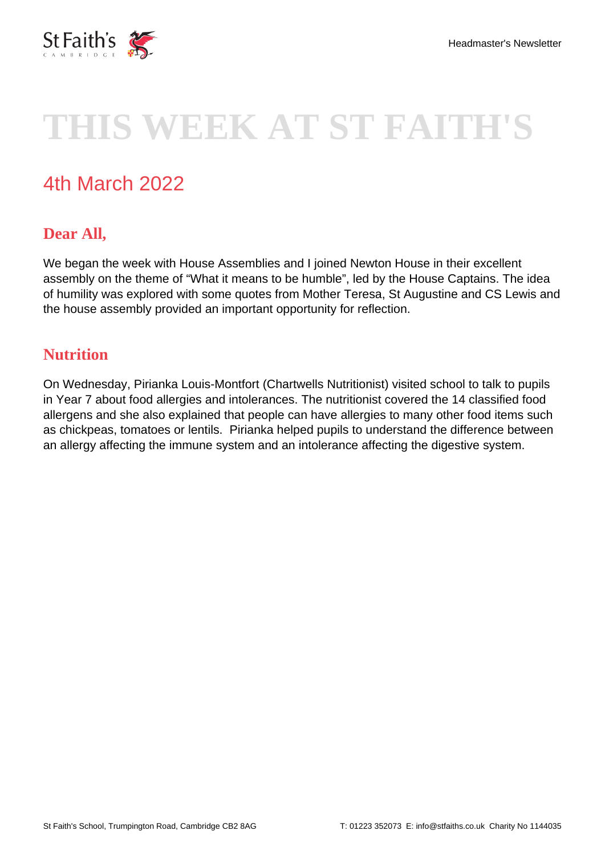

# **THIS WEEK AT ST FAITH'S**

# 4th March 2022

# **Dear All,**

We began the week with House Assemblies and I joined Newton House in their excellent assembly on the theme of "What it means to be humble", led by the House Captains. The idea of humility was explored with some quotes from Mother Teresa, St Augustine and CS Lewis and the house assembly provided an important opportunity for reflection.

#### **Nutrition**

On Wednesday, Pirianka Louis-Montfort (Chartwells Nutritionist) visited school to talk to pupils in Year 7 about food allergies and intolerances. The nutritionist covered the 14 classified food allergens and she also explained that people can have allergies to many other food items such as chickpeas, tomatoes or lentils. Pirianka helped pupils to understand the difference between an allergy affecting the immune system and an intolerance affecting the digestive system.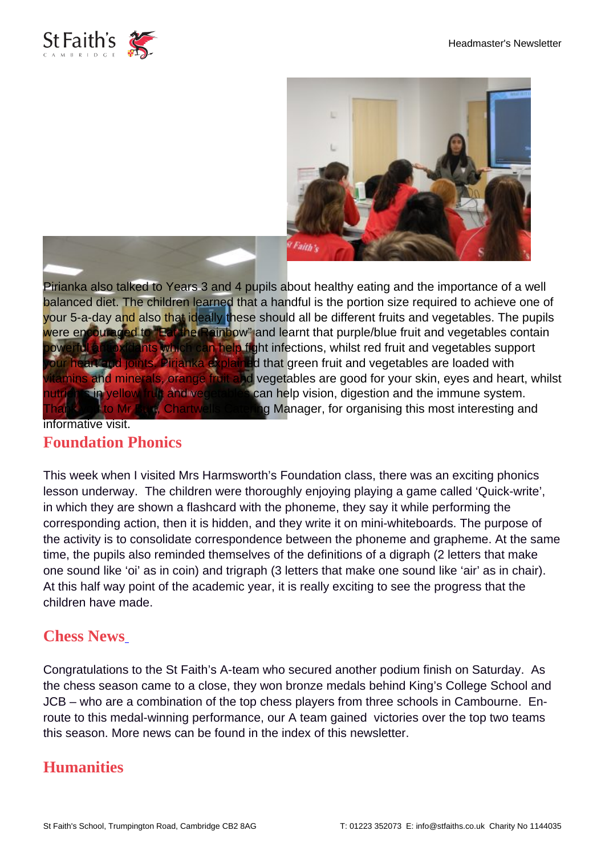



Pirianka also talked to Years 3 and 4 pupils about healthy eating and the importance of a well balanced diet. The children learned that a handful is the portion size required to achieve one of your 5-a-day and also that ideally these should all be different fruits and vegetables. The pupils were encouraged to "Eat the Rainbow" and learnt that purple/blue fruit and vegetables contain owerful antioxidants which can help fight infections, whilst red fruit and vegetables support heart and joints. Pirianka explained that green fruit and vegetables are loaded with vitamins and minerals, orange fruit and vegetables are good for your skin, eyes and heart, whilst nts in yellow fruit and vegetables can help vision, digestion and the immune system. to Mr Burt, Chartwells Catering Manager, for organising this most interesting and informative visit.

## **Foundation Phonics**

This week when I visited Mrs Harmsworth's Foundation class, there was an exciting phonics lesson underway. The children were thoroughly enjoying playing a game called 'Quick-write', in which they are shown a flashcard with the phoneme, they say it while performing the corresponding action, then it is hidden, and they write it on mini-whiteboards. The purpose of the activity is to consolidate correspondence between the phoneme and grapheme. At the same time, the pupils also reminded themselves of the definitions of a digraph (2 letters that make one sound like 'oi' as in coin) and trigraph (3 letters that make one sound like 'air' as in chair). At this half way point of the academic year, it is really exciting to see the progress that the children have made.

#### **Chess News**

Congratulations to the St Faith's A-team who secured another podium finish on Saturday. As the chess season came to a close, they won bronze medals behind King's College School and JCB – who are a combination of the top chess players from three schools in Cambourne. Enroute to this medal-winning performance, our A team gained victories over the top two teams this season. More news can be found in the index of this newsletter.

## **Humanities**